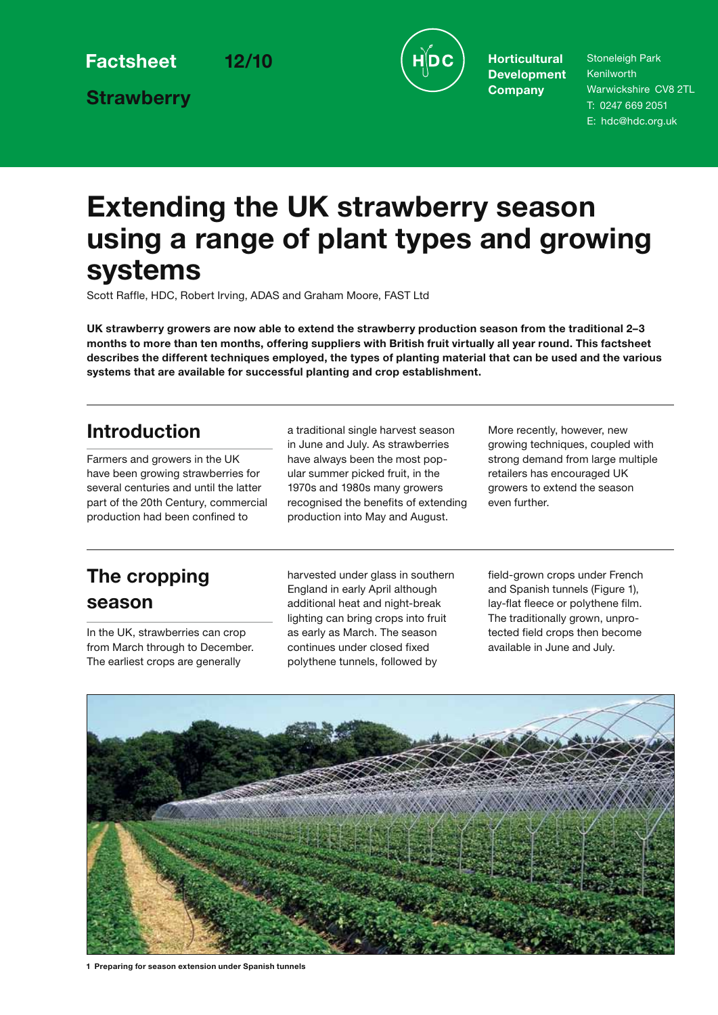**Strawberry**



**Development Company**

Stoneleigh Park Kenilworth Warwickshire CV8 2TL T: 0247 669 2051 E: hdc@hdc.org.uk

# **Extending the UK strawberry season using a range of plant types and growing systems**

Scott Raffle, HDC, Robert Irving, ADAS and Graham Moore, FAST Ltd

**UK strawberry growers are now able to extend the strawberry production season from the traditional 2–3 months to more than ten months, offering suppliers with British fruit virtually all year round. This factsheet describes the different techniques employed, the types of planting material that can be used and the various systems that are available for successful planting and crop establishment.**

# **Introduction**

Farmers and growers in the UK have been growing strawberries for several centuries and until the latter part of the 20th Century, commercial production had been confined to

a traditional single harvest season in June and July. As strawberries have always been the most popular summer picked fruit, in the 1970s and 1980s many growers recognised the benefits of extending production into May and August.

More recently, however, new growing techniques, coupled with strong demand from large multiple retailers has encouraged UK growers to extend the season even further.

# **The cropping season**

In the UK, strawberries can crop from March through to December. The earliest crops are generally

harvested under glass in southern England in early April although additional heat and night-break lighting can bring crops into fruit as early as March. The season continues under closed fixed polythene tunnels, followed by

field-grown crops under French and Spanish tunnels (Figure 1), lay-flat fleece or polythene film. The traditionally grown, unprotected field crops then become available in June and July.



**1 Preparing for season extension under Spanish tunnels**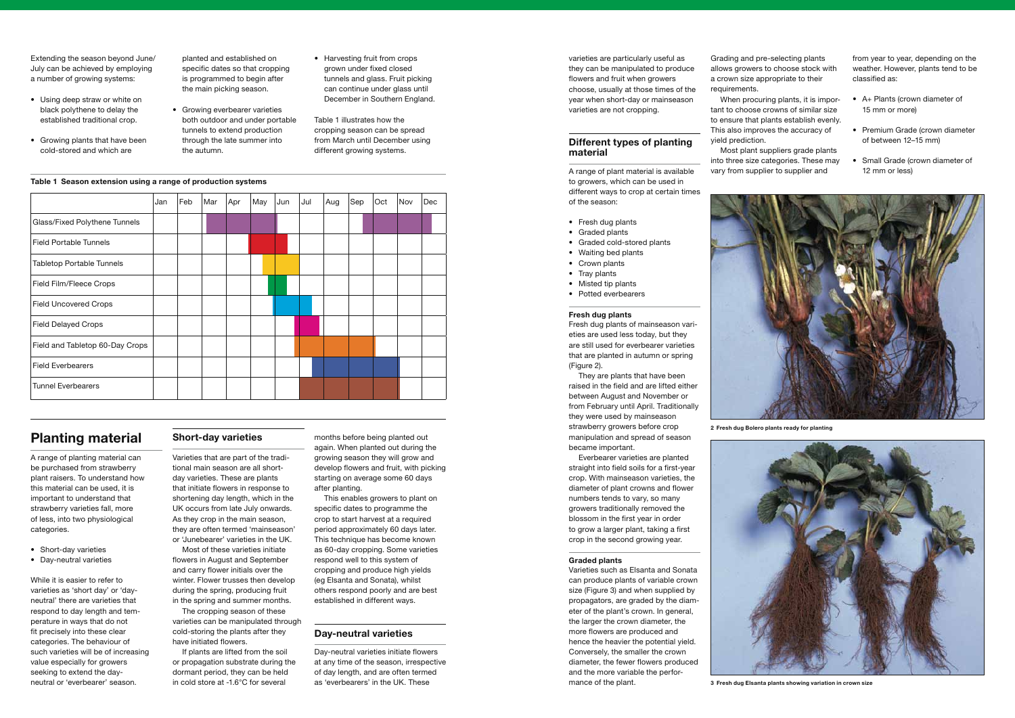|                                  | Jan | Feb | Mar | Apr | May | Jun | Jul | Aug | Sep | Oct | Nov | Dec |
|----------------------------------|-----|-----|-----|-----|-----|-----|-----|-----|-----|-----|-----|-----|
| Glass/Fixed Polythene Tunnels    |     |     |     |     |     |     |     |     |     |     |     |     |
| <b>Field Portable Tunnels</b>    |     |     |     |     |     |     |     |     |     |     |     |     |
| <b>Tabletop Portable Tunnels</b> |     |     |     |     |     |     |     |     |     |     |     |     |
| Field Film/Fleece Crops          |     |     |     |     |     |     |     |     |     |     |     |     |
| <b>Field Uncovered Crops</b>     |     |     |     |     |     |     |     |     |     |     |     |     |
| <b>Field Delayed Crops</b>       |     |     |     |     |     |     |     |     |     |     |     |     |
| Field and Tabletop 60-Day Crops  |     |     |     |     |     |     |     |     |     |     |     |     |
| <b>Field Everbearers</b>         |     |     |     |     |     |     |     |     |     |     |     |     |
| <b>Tunnel Everbearers</b>        |     |     |     |     |     |     |     |     |     |     |     |     |

- Using deep straw or white on black polythene to delay the established traditional crop.
- Growing plants that have been cold-stored and which are

Extending the season beyond June/ July can be achieved by employing a number of growing systems:

varieties are particularly useful as they can be manipulated to produce flowers and fruit when growers choose, usually at those times of the year when short-day or mainseason varieties are not cropping.

# **Different types of planting material**

A range of plant material is available to growers, which can be used in different ways to crop at certain times of the season:

- Fresh dug plants
- Graded plants
- Graded cold-stored plants
- Waiting bed plants
- Crown plants
- Tray plants
- Misted tip plants
- Potted everbearers

#### **Fresh dug plants**

Fresh dug plants of mainseason varieties are used less today, but they are still used for everbearer varieties that are planted in autumn or spring (Figure 2).

They are plants that have been raised in the field and are lifted either between August and November or from February until April. Traditionally they were used by mainseason strawberry growers before crop manipulation and spread of season became important.

- A+ Plants (crown diameter of 15 mm or more)
- Premium Grade (crown diameter of between 12–15 mm)
- Small Grade (crown diameter of 12 mm or less)



- Growing everbearer varieties both outdoor and under portable tunnels to extend production through the late summer into the autumn.
- Harvesting fruit from crops grown under fixed closed tunnels and glass. Fruit picking can continue under glass until December in Southern England.

Everbearer varieties are planted straight into field soils for a first-year crop. With mainseason varieties, the diameter of plant crowns and flower numbers tends to vary, so many growers traditionally removed the blossom in the first year in order to grow a larger plant, taking a first crop in the second growing year.

#### **Graded plants**

- Short-day varieties
- • Day-neutral varieties

Varieties such as Elsanta and Sonata can produce plants of variable crown size (Figure 3) and when supplied by propagators, are graded by the diameter of the plant's crown. In general, the larger the crown diameter, the more flowers are produced and hence the heavier the potential yield. Conversely, the smaller the crown diameter, the fewer flowers produced and the more variable the performance of the plant.

Grading and pre-selecting plants allows growers to choose stock with a crown size appropriate to their

requirements.

When procuring plants, it is important to choose crowns of similar size to ensure that plants establish evenly. This also improves the accuracy of

yield prediction.

Most plant suppliers grade plants into three size categories. These may vary from supplier to supplier and

from year to year, depending on the weather. However, plants tend to be classified as:

planted and established on specific dates so that cropping is programmed to begin after the main picking season.

> Table 1 illustrates how the cropping season can be spread from March until December using different growing systems.

### **Table 1 Season extension using a range of production systems**

# **Planting material**

A range of planting material can be purchased from strawberry plant raisers. To understand how this material can be used, it is important to understand that strawberry varieties fall, more of less, into two physiological categories.

While it is easier to refer to varieties as 'short day' or 'dayneutral' there are varieties that respond to day length and temperature in ways that do not fit precisely into these clear categories. The behaviour of such varieties will be of increasing value especially for growers seeking to extend the dayneutral or 'everbearer' season.

# **Short-day varieties**

Varieties that are part of the traditional main season are all shortday varieties. These are plants that initiate flowers in response to shortening day length, which in the UK occurs from late July onwards. As they crop in the main season, they are often termed 'mainseason' or 'Junebearer' varieties in the UK.

Most of these varieties initiate flowers in August and September and carry flower initials over the winter. Flower trusses then develop during the spring, producing fruit in the spring and summer months.

The cropping season of these varieties can be manipulated through cold-storing the plants after they have initiated flowers.

If plants are lifted from the soil or propagation substrate during the dormant period, they can be held in cold store at -1.6°C for several

months before being planted out again. When planted out during the growing season they will grow and develop flowers and fruit, with picking starting on average some 60 days after planting.

This enables growers to plant on specific dates to programme the crop to start harvest at a required period approximately 60 days later. This technique has become known as 60-day cropping. Some varieties respond well to this system of cropping and produce high yields (eg Elsanta and Sonata), whilst others respond poorly and are best established in different ways.

## **Day-neutral varieties**

Day-neutral varieties initiate flowers at any time of the season, irrespective of day length, and are often termed as 'everbearers' in the UK. These



**3 Fresh dug Elsanta plants showing variation in crown size**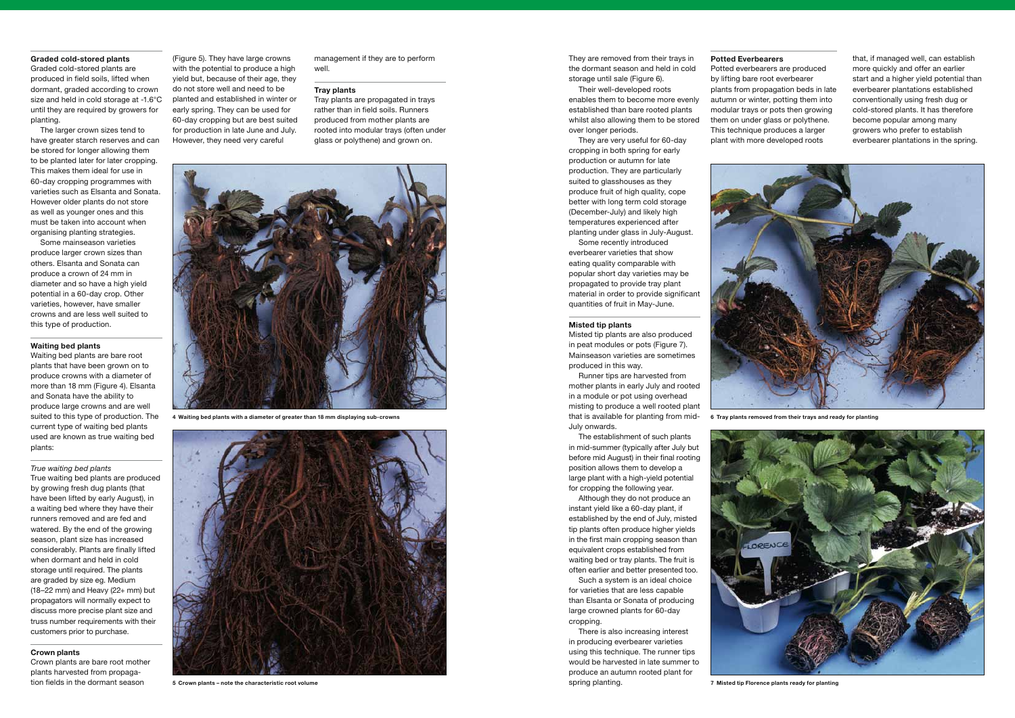### **Graded cold-stored plants**

Graded cold-stored plants are produced in field soils, lifted when dormant, graded according to crown size and held in cold storage at -1.6°C until they are required by growers for planting.

The larger crown sizes tend to have greater starch reserves and can be stored for longer allowing them to be planted later for later cropping. This makes them ideal for use in 60-day cropping programmes with varieties such as Elsanta and Sonata. However older plants do not store as well as younger ones and this must be taken into account when organising planting strategies.

Some mainseason varieties produce larger crown sizes than others. Elsanta and Sonata can produce a crown of 24 mm in diameter and so have a high yield potential in a 60-day crop. Other varieties, however, have smaller crowns and are less well suited to this type of production.

#### **Waiting bed plants**

Waiting bed plants are bare root plants that have been grown on to produce crowns with a diameter of more than 18 mm (Figure 4). Elsanta and Sonata have the ability to produce large crowns and are well suited to this type of production. The current type of waiting bed plants used are known as true waiting bed plants:

*True waiting bed plants*

True waiting bed plants are produced by growing fresh dug plants (that have been lifted by early August), in a waiting bed where they have their runners removed and are fed and watered. By the end of the growing season, plant size has increased considerably. Plants are finally lifted when dormant and held in cold storage until required. The plants are graded by size eg. Medium (18–22 mm) and Heavy (22+ mm) but propagators will normally expect to discuss more precise plant size and truss number requirements with their customers prior to purchase.

#### **Crown plants**

Crown plants are bare root mother plants harvested from propagation fields in the dormant season

(Figure 5). They have large crowns with the potential to produce a high yield but, because of their age, they do not store well and need to be planted and established in winter or early spring. They can be used for 60-day cropping but are best suited for production in late June and July. However, they need very careful

management if they are to perform well.

#### **Tray plants**

Tray plants are propagated in trays rather than in field soils. Runners produced from mother plants are rooted into modular trays (often under glass or polythene) and grown on.



They are removed from their trays in the dormant season and held in cold storage until sale (Figure 6).

Their well-developed roots enables them to become more evenly established than bare rooted plants whilst also allowing them to be stored over longer periods.

They are very useful for 60-day cropping in both spring for early production or autumn for late production. They are particularly suited to glasshouses as they produce fruit of high quality, cope better with long term cold storage (December-July) and likely high temperatures experienced after planting under glass in July-August.

Some recently introduced everbearer varieties that show eating quality comparable with popular short day varieties may be propagated to provide tray plant material in order to provide significant quantities of fruit in May-June.

#### **Misted tip plants**

Misted tip plants are also produced in peat modules or pots (Figure 7). Mainseason varieties are sometimes produced in this way.

Runner tips are harvested from mother plants in early July and rooted in a module or pot using overhead misting to produce a well rooted plant that is available for planting from mid-July onwards.

The establishment of such plants in mid-summer (typically after July but before mid August) in their final rooting position allows them to develop a large plant with a high-yield potential for cropping the following year.

Although they do not produce an instant yield like a 60-day plant, if established by the end of July, misted tip plants often produce higher yields in the first main cropping season than equivalent crops established from waiting bed or tray plants. The fruit is often earlier and better presented too.

Such a system is an ideal choice for varieties that are less capable than Elsanta or Sonata of producing large crowned plants for 60-day cropping.

There is also increasing interest in producing everbearer varieties using this technique. The runner tips would be harvested in late summer to produce an autumn rooted plant for spring planting.





#### **Potted Everbearers**

Potted everbearers are produced by lifting bare root everbearer plants from propagation beds in late autumn or winter, potting them into modular trays or pots then growing them on under glass or polythene. This technique produces a larger plant with more developed roots

that, if managed well, can establish more quickly and offer an earlier start and a higher yield potential than everbearer plantations established conventionally using fresh dug or cold-stored plants. It has therefore become popular among many growers who prefer to establish everbearer plantations in the spring.

**4 Waiting bed plants with a diameter of greater than 18 mm displaying sub-crowns**



**5 Crown plants – note the characteristic root volume**

**6 Tray plants removed from their trays and ready for planting**

**7 Misted tip Florence plants ready for planting**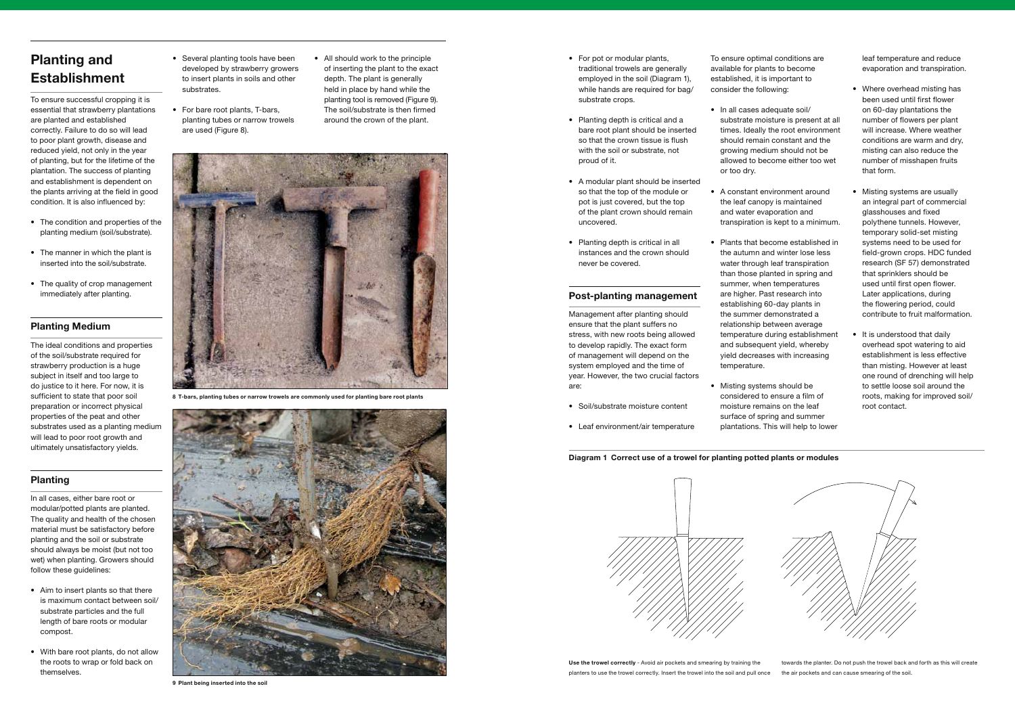# **Planting and Establishment**

To ensure successful cropping it is essential that strawberry plantations are planted and established correctly. Failure to do so will lead to poor plant growth, disease and reduced yield, not only in the year of planting, but for the lifetime of the plantation. The success of planting and establishment is dependent on the plants arriving at the field in good condition. It is also influenced by:

- The condition and properties of the planting medium (soil/substrate).
- $\bullet$  The manner in which the plant is inserted into the soil/substrate.
- The quality of crop management immediately after planting.

# **Planting Medium**

- Aim to insert plants so that there is maximum contact between soil/ substrate particles and the full length of bare roots or modular compost.
- With bare root plants, do not allow the roots to wrap or fold back on themselves.

The ideal conditions and properties of the soil/substrate required for strawberry production is a huge subject in itself and too large to do justice to it here. For now, it is sufficient to state that poor soil preparation or incorrect physical properties of the peat and other substrates used as a planting medium will lead to poor root growth and ultimately unsatisfactory yields.

- Several planting tools have been developed by strawberry growers to insert plants in soils and other substrates.
- For bare root plants, T-bars, planting tubes or narrow trowels are used (Figure 8).
- All should work to the principle of inserting the plant to the exact depth. The plant is generally held in place by hand while the planting tool is removed (Figure 9). The soil/substrate is then firmed around the crown of the plant.

# **Planting**

In all cases, either bare root or modular/potted plants are planted. The quality and health of the chosen material must be satisfactory before planting and the soil or substrate should always be moist (but not too wet) when planting. Growers should follow these guidelines:

- For pot or modular plants, traditional trowels are generally employed in the soil (Diagram 1), while hands are required for bag/ substrate crops.
- Planting depth is critical and a bare root plant should be inserted so that the crown tissue is flush with the soil or substrate, not proud of it.
- A modular plant should be inserted so that the top of the module or pot is just covered, but the top of the plant crown should remain uncovered.
- Planting depth is critical in all instances and the crown should never be covered.

• In all cases adequate soil/ substrate moisture is present at all times. Ideally the root environment should remain constant and the growing medium should not be allowed to become either too wet

• A constant environment around the leaf canopy is maintained and water evaporation and transpiration is kept to a minimum.

• Plants that become established in the autumn and winter lose less water through leaf transpiration than those planted in spring and summer, when temperatures are higher. Past research into establishing 60-day plants in the summer demonstrated a relationship between average temperature during establishment and subsequent yield, whereby yield decreases with increasing

• Misting systems should be considered to ensure a film of moisture remains on the leaf surface of spring and summer plantations. This will help to lower

- Where overhead misting has been used until first flower on 60-day plantations the number of flowers per plant will increase. Where weather conditions are warm and dry, misting can also reduce the number of misshapen fruits that form.
- Misting systems are usually an integral part of commercial glasshouses and fixed polythene tunnels. However, temporary solid-set misting systems need to be used for field-grown crops. HDC funded research (SF 57) demonstrated that sprinklers should be used until first open flower. Later applications, during the flowering period, could contribute to fruit malformation.
- It is understood that daily overhead spot watering to aid establishment is less effective than misting. However at least one round of drenching will help to settle loose soil around the roots, making for improved soil/ root contact.





### **Post-planting management**

Management after planting should ensure that the plant suffers no stress, with new roots being allowed to develop rapidly. The exact form of management will depend on the system employed and the time of year. However, the two crucial factors are:

- Soil/substrate moisture content
- Leaf environment/air temperature

To ensure optimal conditions are available for plants to become established, it is important to consider the following:

or too dry.

temperature.

leaf temperature and reduce evaporation and transpiration.



**9 Plant being inserted into the soil**



**8 T-bars, planting tubes or narrow trowels are commonly used for planting bare root plants**

**Diagram 1 Correct use of a trowel for planting potted plants or modules**



**Use the trowel correctly** - Avoid air pockets and smearing by training the planters to use the trowel correctly. Insert the trowel into the soil and pull once

towards the planter. Do not push the trowel back and forth as this will create the air pockets and can cause smearing of the soil.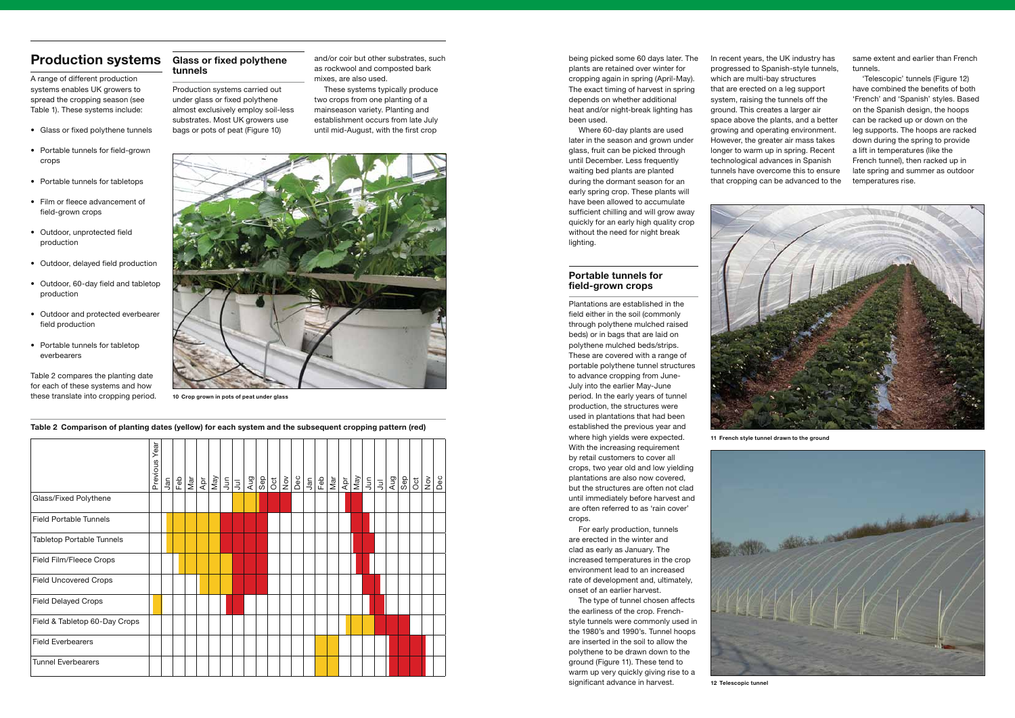# **Production systems**

A range of different production systems enables UK growers to spread the cropping season (see Table 1). These systems include:

- Glass or fixed polythene tunnels
- Portable tunnels for field-grown crops
- Portable tunnels for tabletops
- Film or fleece advancement of field-grown crops
- Outdoor, unprotected field production
- Outdoor, delayed field production
- Outdoor, 60-day field and tabletop production
- Outdoor and protected everbearer field production
- Portable tunnels for tabletop everbearers

Table 2 compares the planting date for each of these systems and how these translate into cropping period. being picked some 60 days later. The plants are retained over winter for cropping again in spring (April-May). The exact timing of harvest in spring depends on whether additional heat and/or night-break lighting has been used.

Where 60-day plants are used later in the season and grown under glass, fruit can be picked through until December. Less frequently waiting bed plants are planted during the dormant season for an early spring crop. These plants will have been allowed to accumulate sufficient chilling and will grow away quickly for an early high quality crop without the need for night break lighting.

### **Portable tunnels for field-grown crops**

Plantations are established in the field either in the soil (commonly through polythene mulched raised beds) or in bags that are laid on polythene mulched beds/strips. These are covered with a range of portable polythene tunnel structures to advance cropping from June-July into the earlier May-June period. In the early years of tunnel production, the structures were used in plantations that had been established the previous year and where high yields were expected. With the increasing requirement by retail customers to cover all crops, two year old and low yielding plantations are also now covered, but the structures are often not clad until immediately before harvest and are often referred to as 'rain cover'

crops.

For early production, tunnels are erected in the winter and clad as early as January. The increased temperatures in the crop environment lead to an increased rate of development and, ultimately, onset of an earlier harvest.

The type of tunnel chosen affects the earliness of the crop. Frenchstyle tunnels were commonly used in the 1980's and 1990's. Tunnel hoops are inserted in the soil to allow the polythene to be drawn down to the ground (Figure 11). These tend to warm up very quickly giving rise to a significant advance in harvest.

In recent years, the UK industry has progressed to Spanish-style tunnels, which are multi-bay structures that are erected on a leg support system, raising the tunnels off the ground. This creates a larger air space above the plants, and a better growing and operating environment. However, the greater air mass takes longer to warm up in spring. Recent technological advances in Spanish tunnels have overcome this to ensure that cropping can be advanced to the





same extent and earlier than French tunnels.

'Telescopic' tunnels (Figure 12) have combined the benefits of both 'French' and 'Spanish' styles. Based on the Spanish design, the hoops can be racked up or down on the leg supports. The hoops are racked down during the spring to provide a lift in temperatures (like the French tunnel), then racked up in late spring and summer as outdoor temperatures rise.

**Table 2 Comparison of planting dates (yellow) for each system and the subsequent cropping pattern (red)**

**Glass or fixed polythene tunnels** 

Production systems carried out under glass or fixed polythene almost exclusively employ soil-less substrates. Most UK growers use bags or pots of peat (Figure 10)

and/or coir but other substrates, such as rockwool and composted bark mixes, are also used.

These systems typically produce two crops from one planting of a mainseason variety. Planting and establishment occurs from late July until mid-August, with the first crop



**10 Crop grown in pots of peat under glass**



**11 French style tunnel drawn to the ground**



|                                  | Year<br>Previous | Jan | Feb | $\frac{a}{\sqrt{a}}$ | Apr |  | $\frac{ \vec{B} }{ \vec{B} }$ | Sep | Oct | $\stackrel{\textstyle{>}}{\textstyle\sum}$ | Dec | Jan | Feb | $\frac{a}{2}$ | $\frac{d}{d}$ | May | $\frac{1}{2}$ $\frac{1}{2}$ | Aug | Sep | Oct | $\stackrel{\textstyle{>}}{\textstyle\sim}$ | Dec |
|----------------------------------|------------------|-----|-----|----------------------|-----|--|-------------------------------|-----|-----|--------------------------------------------|-----|-----|-----|---------------|---------------|-----|-----------------------------|-----|-----|-----|--------------------------------------------|-----|
| Glass/Fixed Polythene            |                  |     |     |                      |     |  |                               |     |     |                                            |     |     |     |               |               |     |                             |     |     |     |                                            |     |
| <b>Field Portable Tunnels</b>    |                  |     |     |                      |     |  |                               |     |     |                                            |     |     |     |               |               |     |                             |     |     |     |                                            |     |
| <b>Tabletop Portable Tunnels</b> |                  |     |     |                      |     |  |                               |     |     |                                            |     |     |     |               |               |     |                             |     |     |     |                                            |     |
| Field Film/Fleece Crops          |                  |     |     |                      |     |  |                               |     |     |                                            |     |     |     |               |               |     |                             |     |     |     |                                            |     |
| <b>Field Uncovered Crops</b>     |                  |     |     |                      |     |  |                               |     |     |                                            |     |     |     |               |               |     |                             |     |     |     |                                            |     |
| <b>Field Delayed Crops</b>       |                  |     |     |                      |     |  |                               |     |     |                                            |     |     |     |               |               |     |                             |     |     |     |                                            |     |
| Field & Tabletop 60-Day Crops    |                  |     |     |                      |     |  |                               |     |     |                                            |     |     |     |               |               |     |                             |     |     |     |                                            |     |
| <b>Field Everbearers</b>         |                  |     |     |                      |     |  |                               |     |     |                                            |     |     |     |               |               |     |                             |     |     |     |                                            |     |
| <b>Tunnel Everbearers</b>        |                  |     |     |                      |     |  |                               |     |     |                                            |     |     |     |               |               |     |                             |     |     |     |                                            |     |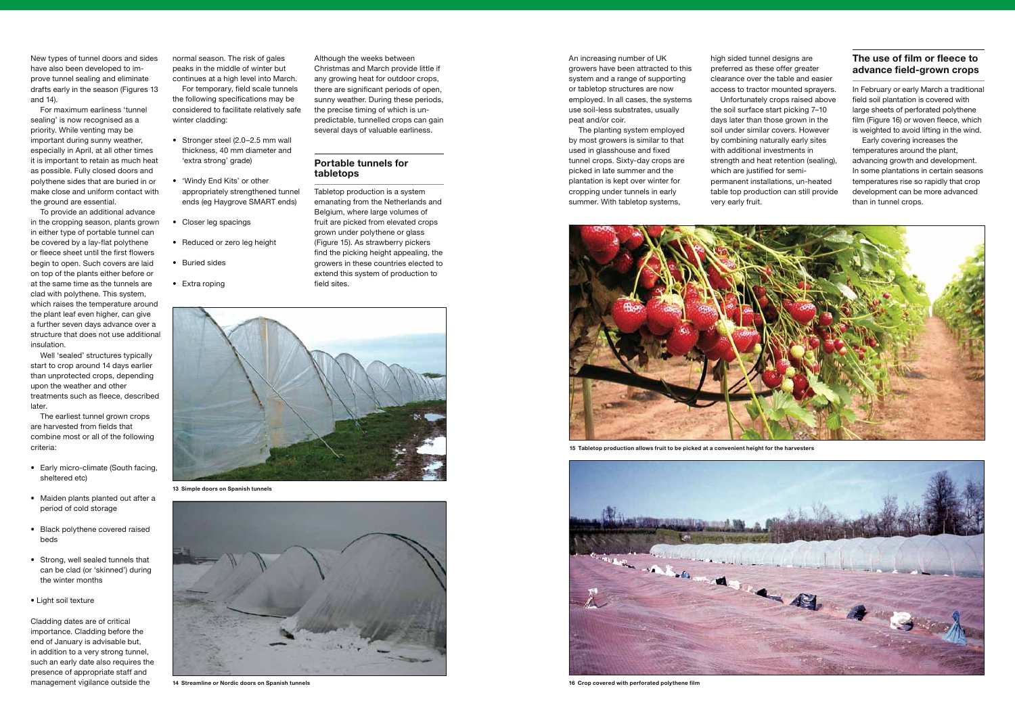New types of tunnel doors and sides have also been developed to improve tunnel sealing and eliminate drafts early in the season (Figures 13 and 14).

For maximum earliness 'tunnel sealing' is now recognised as a priority. While venting may be important during sunny weather, especially in April, at all other times it is important to retain as much heat as possible. Fully closed doors and polythene sides that are buried in or make close and uniform contact with the ground are essential.

To provide an additional advance in the cropping season, plants grown in either type of portable tunnel can be covered by a lay-flat polythene or fleece sheet until the first flowers begin to open. Such covers are laid on top of the plants either before or at the same time as the tunnels are clad with polythene. This system, which raises the temperature around the plant leaf even higher, can give a further seven days advance over a structure that does not use additional insulation.

Well 'sealed' structures typically start to crop around 14 days earlier than unprotected crops, depending upon the weather and other treatments such as fleece, described later.

The earliest tunnel grown crops are harvested from fields that combine most or all of the following criteria:

- Early micro-climate (South facing, sheltered etc)
- Maiden plants planted out after a period of cold storage
- Black polythene covered raised beds
- Strong, well sealed tunnels that can be clad (or 'skinned') during the winter months
- Light soil texture

Cladding dates are of critical importance. Cladding before the end of January is advisable but, in addition to a very strong tunnel, such an early date also requires the presence of appropriate staff and management vigilance outside the

An increasing number of UK growers have been attracted to this system and a range of supporting or tabletop structures are now employed. In all cases, the systems use soil-less substrates, usually peat and/or coir.

The planting system employed by most growers is similar to that used in glasshouse and fixed tunnel crops. Sixty-day crops are picked in late summer and the plantation is kept over winter for cropping under tunnels in early summer. With tabletop systems,

normal season. The risk of gales peaks in the middle of winter but continues at a high level into March.

For temporary, field scale tunnels the following specifications may be considered to facilitate relatively safe winter cladding:

- Stronger steel (2.0–2.5 mm wall thickness, 40 mm diameter and 'extra strong' grade)
- 'Windy End Kits' or other appropriately strengthened tunnel ends (eg Haygrove SMART ends)
- Closer leg spacings
- Reduced or zero leg height
- Buried sides
- Extra roping

Although the weeks between Christmas and March provide little if any growing heat for outdoor crops, there are significant periods of open, sunny weather. During these periods, the precise timing of which is unpredictable, tunnelled crops can gain several days of valuable earliness.

## **Portable tunnels for tabletops**

Tabletop production is a system emanating from the Netherlands and Belgium, where large volumes of fruit are picked from elevated crops grown under polythene or glass (Figure 15). As strawberry pickers find the picking height appealing, the growers in these countries elected to extend this system of production to field sites.



**13 Simple doors on Spanish tunnels**



**14 Streamline or Nordic doors on Spanish tunnels**



**15 Tabletop production allows fruit to be picked at a convenient height for the harvesters**



**16 Crop covered with perforated polythene film**

high sided tunnel designs are preferred as these offer greater clearance over the table and easier access to tractor mounted sprayers. Unfortunately crops raised above the soil surface start picking 7–10 days later than those grown in the soil under similar covers. However by combining naturally early sites with additional investments in strength and heat retention (sealing), which are justified for semi-

permanent installations, un-heated table top production can still provide

very early fruit.

# **The use of film or fleece to advance field-grown crops**

In February or early March a traditional field soil plantation is covered with large sheets of perforated polythene film (Figure 16) or woven fleece, which is weighted to avoid lifting in the wind.

Early covering increases the temperatures around the plant, advancing growth and development. In some plantations in certain seasons temperatures rise so rapidly that crop development can be more advanced than in tunnel crops.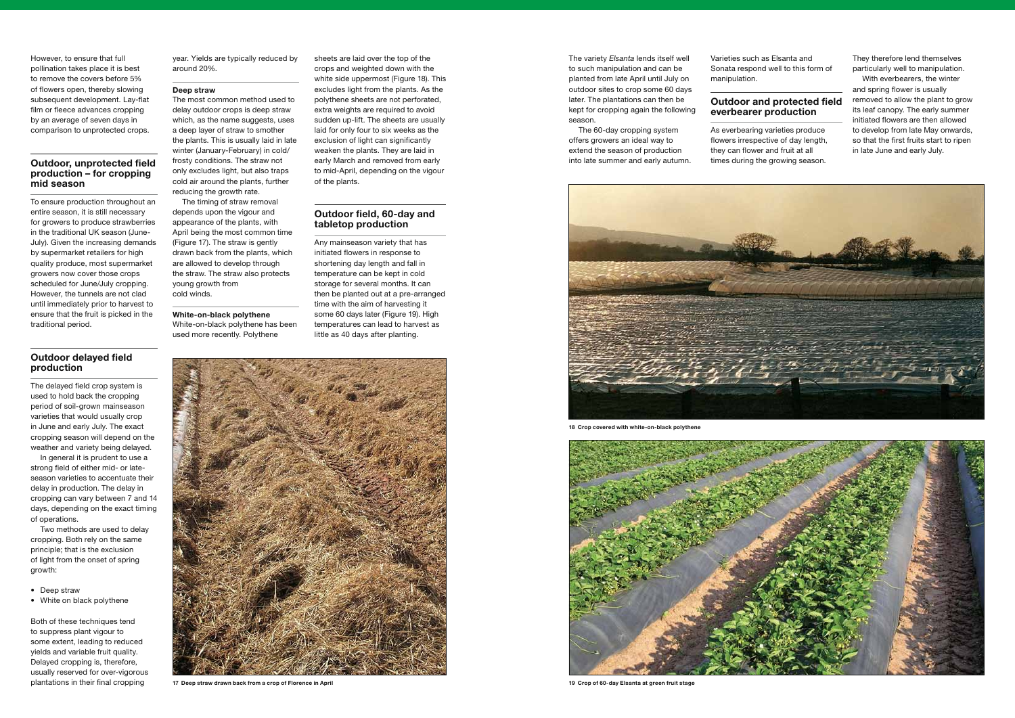However, to ensure that full pollination takes place it is best to remove the covers before 5% of flowers open, thereby slowing subsequent development. Lay-flat film or fleece advances cropping by an average of seven days in comparison to unprotected crops.

### **Outdoor, unprotected field production – for cropping mid season**

To ensure production throughout an entire season, it is still necessary for growers to produce strawberries in the traditional UK season (June-July). Given the increasing demands by supermarket retailers for high quality produce, most supermarket growers now cover those crops scheduled for June/July cropping. However, the tunnels are not clad until immediately prior to harvest to ensure that the fruit is picked in the traditional period.

# **Outdoor delayed field production**

The delayed field crop system is used to hold back the cropping period of soil-grown mainseason varieties that would usually crop in June and early July. The exact cropping season will depend on the weather and variety being delayed.

In general it is prudent to use a strong field of either mid- or lateseason varieties to accentuate their delay in production. The delay in cropping can vary between 7 and 14 days, depending on the exact timing of operations.

Two methods are used to delay cropping. Both rely on the same principle; that is the exclusion of light from the onset of spring growth:

- Deep straw
- White on black polythene

Both of these techniques tend to suppress plant vigour to some extent, leading to reduced yields and variable fruit quality. Delayed cropping is, therefore, usually reserved for over-vigorous



plantations in their final cropping **17 Deep straw drawn back from a crop of Florence in April**



**18 Crop covered with white-on-black polythene**



**19 Crop of 60-day Elsanta at green fruit stage**

The variety *Elsanta* lends itself well to such manipulation and can be planted from late April until July on outdoor sites to crop some 60 days later. The plantations can then be kept for cropping again the following season.

The 60-day cropping system offers growers an ideal way to extend the season of production into late summer and early autumn. Varieties such as Elsanta and Sonata respond well to this form of manipulation.

## **Outdoor and protected field everbearer production**

As everbearing varieties produce flowers irrespective of day length, they can flower and fruit at all times during the growing season.

They therefore lend themselves particularly well to manipulation.

With everbearers, the winter and spring flower is usually removed to allow the plant to grow its leaf canopy. The early summer initiated flowers are then allowed to develop from late May onwards, so that the first fruits start to ripen in late June and early July.

year. Yields are typically reduced by around 20%.

#### **Deep straw**

The most common method used to delay outdoor crops is deep straw which, as the name suggests, uses a deep layer of straw to smother the plants. This is usually laid in late winter (January-February) in cold/ frosty conditions. The straw not only excludes light, but also traps cold air around the plants, further reducing the growth rate.

The timing of straw removal depends upon the vigour and appearance of the plants, with April being the most common time (Figure 17). The straw is gently drawn back from the plants, which are allowed to develop through the straw. The straw also protects young growth from cold winds.

**White-on-black polythene** White-on-black polythene has been used more recently. Polythene

sheets are laid over the top of the crops and weighted down with the white side uppermost (Figure 18). This excludes light from the plants. As the polythene sheets are not perforated, extra weights are required to avoid sudden up-lift. The sheets are usually laid for only four to six weeks as the exclusion of light can significantly weaken the plants. They are laid in early March and removed from early to mid-April, depending on the vigour of the plants.

### **Outdoor field, 60-day and tabletop production**

Any mainseason variety that has initiated flowers in response to shortening day length and fall in temperature can be kept in cold storage for several months. It can then be planted out at a pre-arranged time with the aim of harvesting it some 60 days later (Figure 19). High temperatures can lead to harvest as little as 40 days after planting.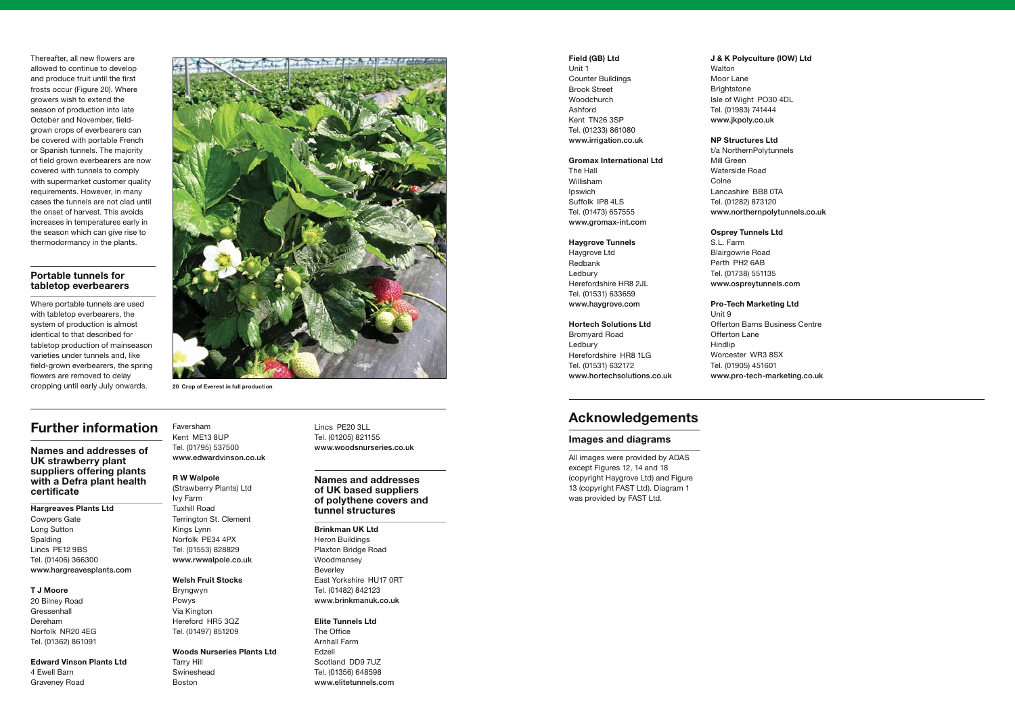Thereafter, all new flowers are allowed to continue to develop and produce fruit until the first frosts occur (Figure 20). Where growers wish to extend the season of production into late October and November, fieldgrown crops of everbearers can be covered with portable French or Spanish tunnels. The majority of field grown everbearers are now covered with tunnels to comply with supermarket customer quality requirements. However, in many cases the tunnels are not clad until the onset of harvest. This avoids increases in temperatures early in the season which can give rise to thermodormancy in the plants.

### **Portable tunnels for tabletop everbearers**

Where portable tunnels are used with tabletop everbearers, the system of production is almost identical to that described for tabletop production of mainseason varieties under tunnels and, like field-grown everbearers, the spring flowers are removed to delay cropping until early July onwards. **20 Crop of Everest in full production**



Lincs PE20 3LL Tel. (01205) 821155 www.woodsnurseries.co.uk

# **Further information**

**Names and addresses of UK strawberry plant suppliers offering plants with a Defra plant health certificate**

**Hargreaves Plants Ltd** Cowpers Gate Long Sutton Spalding Lincs PE12 9BS Tel. (01406) 366300 www.hargreavesplants.com

#### **T J Moore**

20 Bilney Road **Gressenhall** Dereham Norfolk NR20 4EG Tel. (01362) 861091

**Edward Vinson Plants Ltd** 4 Ewell Barn Graveney Road

Faversham Kent ME13 8UP Tel. (01795) 537500 www.edwardvinson.co.uk

### **R W Walpole**

(Strawberry Plants) Ltd Ivy Farm Tuxhill Road Terrington St. Clement Kings Lynn Norfolk PE34 4PX Tel. (01553) 828829 www.rwwalpole.co.uk

#### **Welsh Fruit Stocks**

Bryngwyn Powys Via Kington Hereford HR5 3QZ Tel. (01497) 851209

#### **Woods Nurseries Plants Ltd**

Tarry Hill Swineshead Boston

### **Names and addresses of UK based suppliers of polythene covers and tunnel structures**

**Brinkman UK Ltd** Heron Buildings Plaxton Bridge Road Woodmansey Beverley East Yorkshire HU17 0RT Tel. (01482) 842123 www.brinkmanuk.co.uk

#### **Elite Tunnels Ltd**

The Office Arnhall Farm Edzell Scotland DD9 7UZ Tel. (01356) 648598 www.elitetunnels.com

#### **Field (GB) Ltd**

Unit 1 Counter Buildings Brook Street Woodchurch Ashford Kent TN26 3SP Tel. (01233) 861080 www.irrigation.co.uk

#### **Gromax International Ltd**

The Hall Willisham Ipswich Suffolk IP8 4LS Tel. (01473) 657555 www.gromax-int.com

#### **Haygrove Tunnels**

Haygrove Ltd Redbank Ledbury Herefordshire HR8 2JL Tel. (01531) 633659 www.haygrove.com

#### **Hortech Solutions Ltd**

Bromyard Road Ledbury Herefordshire HR8 1LG Tel. (01531) 632172 www.hortechsolutions.co.uk

### **J & K Polyculture (IOW) Ltd**

# Walton Moor Lane Brightstone Isle of Wight PO30 4DL Tel. (01983) 741444 www.jkpoly.co.uk

#### **NP Structures Ltd**

t/a NorthernPolytunnels Mill Green Waterside Road Colne Lancashire BB8 0TA Tel. (01282) 873120 www.northernpolytunnels.co.uk

### **Osprey Tunnels Ltd**

S.L. Farm Blairgowrie Road Perth PH2 6AB Tel. (01738) 551135 www.ospreytunnels.com

**Pro-Tech Marketing Ltd** Unit 9 Offerton Barns Business Centre Offerton Lane Hindlip Worcester WR3 8SX Tel. (01905) 451601 www.pro-tech-marketing.co.uk

# **Acknowledgements**

### **Images and diagrams**

All images were provided by ADAS except Figures 12, 14 and 18 (copyright Haygrove Ltd) and Figure 13 (copyright FAST Ltd). Diagram 1 was provided by FAST Ltd.